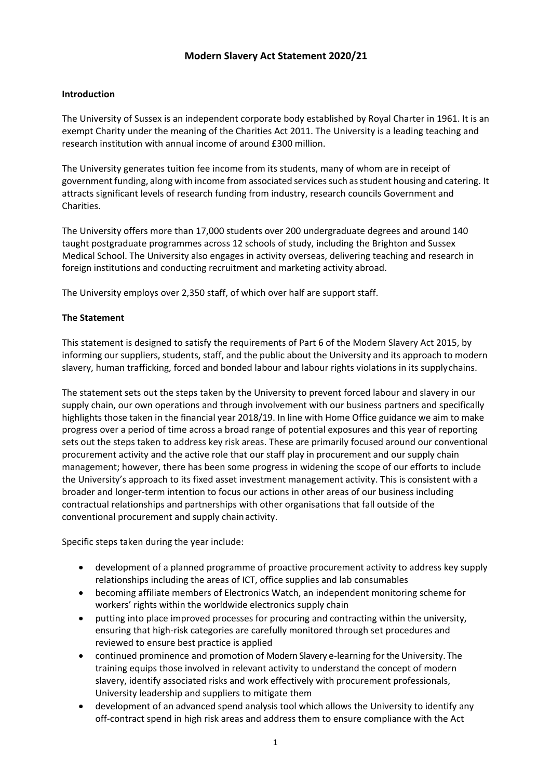## **Modern Slavery Act Statement 2020/21**

## **Introduction**

The University of Sussex is an independent corporate body established by Royal Charter in 1961. It is an exempt Charity under the meaning of the Charities Act 2011. The University is a leading teaching and research institution with annual income of around £300 million.

The University generates tuition fee income from its students, many of whom are in receipt of government funding, along with income from associated services such as student housing and catering. It attracts significant levels of research funding from industry, research councils Government and Charities.

The University offers more than 17,000 students over 200 undergraduate degrees and around 140 taught postgraduate programmes across 12 schools of study, including the Brighton and Sussex Medical School. The University also engages in activity overseas, delivering teaching and research in foreign institutions and conducting recruitment and marketing activity abroad.

The University employs over 2,350 staff, of which over half are support staff.

## **The Statement**

This statement is designed to satisfy the requirements of Part 6 of the Modern Slavery Act 2015, by informing our suppliers, students, staff, and the public about the University and its approach to modern slavery, human trafficking, forced and bonded labour and labour rights violations in its supplychains.

The statement sets out the steps taken by the University to prevent forced labour and slavery in our supply chain, our own operations and through involvement with our business partners and specifically highlights those taken in the financial year 2018/19. In line with Home Office guidance we aim to make progress over a period of time across a broad range of potential exposures and this year of reporting sets out the steps taken to address key risk areas. These are primarily focused around our conventional procurement activity and the active role that our staff play in procurement and our supply chain management; however, there has been some progress in widening the scope of our efforts to include the University's approach to its fixed asset investment management activity. This is consistent with a broader and longer-term intention to focus our actions in other areas of our business including contractual relationships and partnerships with other organisations that fall outside of the conventional procurement and supply chainactivity.

Specific steps taken during the year include:

- development of a planned programme of proactive procurement activity to address key supply relationships including the areas of ICT, office supplies and lab consumables
- becoming affiliate members of Electronics Watch, an independent monitoring scheme for workers' rights within the worldwide electronics supply chain
- putting into place improved processes for procuring and contracting within the university, ensuring that high-risk categories are carefully monitored through set procedures and reviewed to ensure best practice is applied
- continued prominence and promotion of Modern Slavery e-learning for the University. The training equips those involved in relevant activity to understand the concept of modern slavery, identify associated risks and work effectively with procurement professionals, University leadership and suppliers to mitigate them
- development of an advanced spend analysis tool which allows the University to identify any off-contract spend in high risk areas and address them to ensure compliance with the Act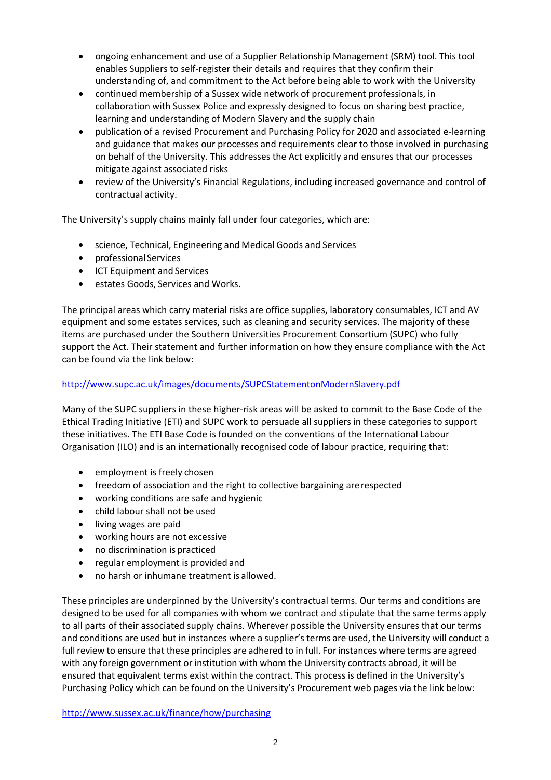- ongoing enhancement and use of a Supplier Relationship Management (SRM) tool. This tool enables Suppliers to self-register their details and requires that they confirm their understanding of, and commitment to the Act before being able to work with the University
- continued membership of a Sussex wide network of procurement professionals, in collaboration with Sussex Police and expressly designed to focus on sharing best practice, learning and understanding of Modern Slavery and the supply chain
- publication of a revised Procurement and Purchasing Policy for 2020 and associated e-learning and guidance that makes our processes and requirements clear to those involved in purchasing on behalf of the University. This addresses the Act explicitly and ensures that our processes mitigate against associated risks
- review of the University's Financial Regulations, including increased governance and control of contractual activity.

The University's supply chains mainly fall under four categories, which are:

- science, Technical, Engineering and Medical Goods and Services
- professional Services
- ICT Equipment and Services
- estates Goods, Services and Works.

The principal areas which carry material risks are office supplies, laboratory consumables, ICT and AV equipment and some estates services, such as cleaning and security services. The majority of these items are purchased under the Southern Universities Procurement Consortium (SUPC) who fully support the Act. Their statement and further information on how they ensure compliance with the Act can be found via the link below:

## <http://www.supc.ac.uk/images/documents/SUPCStatementonModernSlavery.pdf>

Many of the SUPC suppliers in these higher-risk areas will be asked to commit to the Base Code of the Ethical Trading Initiative (ETI) and SUPC work to persuade all suppliers in these categories to support these initiatives. The ETI Base Code is founded on the conventions of the International Labour Organisation (ILO) and is an internationally recognised code of labour practice, requiring that:

- employment is freely chosen
- freedom of association and the right to collective bargaining arerespected
- working conditions are safe and hygienic
- child labour shall not be used
- living wages are paid
- working hours are not excessive
- no discrimination is practiced
- regular employment is provided and
- no harsh or inhumane treatment is allowed.

These principles are underpinned by the University's contractual terms. Our terms and conditions are designed to be used for all companies with whom we contract and stipulate that the same terms apply to all parts of their associated supply chains. Wherever possible the University ensures that our terms and conditions are used but in instances where a supplier's terms are used, the University will conduct a full review to ensure that these principles are adhered to in full. For instances where terms are agreed with any foreign government or institution with whom the University contracts abroad, it will be ensured that equivalent terms exist within the contract. This process is defined in the University's Purchasing Policy which can be found on the University's Procurement web pages via the link below:

<http://www.sussex.ac.uk/finance/how/purchasing>